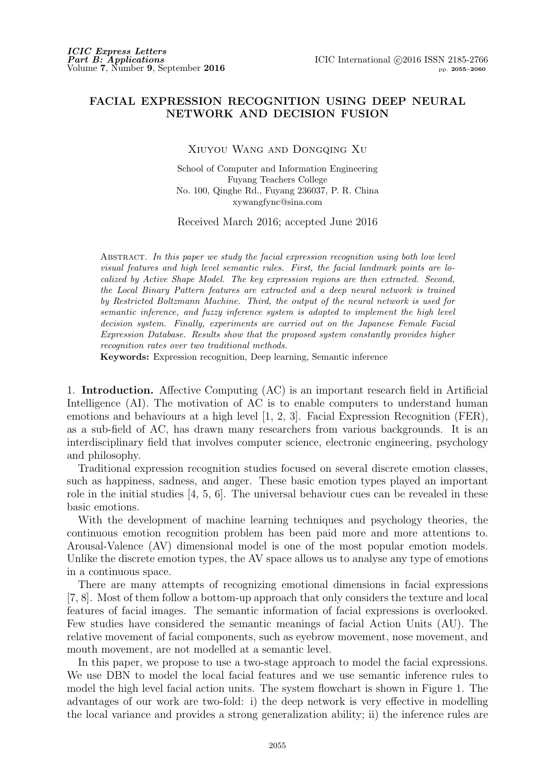## **FACIAL EXPRESSION RECOGNITION USING DEEP NEURAL NETWORK AND DECISION FUSION**

Xiuyou Wang and Dongqing Xu

School of Computer and Information Engineering Fuyang Teachers College No. 100, Qinghe Rd., Fuyang 236037, P. R. China xywangfync@sina.com

Received March 2016; accepted June 2016

Abstract. *In this paper we study the facial expression recognition using both low level visual features and high level semantic rules. First, the facial landmark points are localized by Active Shape Model. The key expression regions are then extracted. Second, the Local Binary Pattern features are extracted and a deep neural network is trained by Restricted Boltzmann Machine. Third, the output of the neural network is used for semantic inference, and fuzzy inference system is adopted to implement the high level decision system. Finally, experiments are carried out on the Japanese Female Facial Expression Database. Results show that the proposed system constantly provides higher recognition rates over two traditional methods.*

**Keywords:** Expression recognition, Deep learning, Semantic inference

1. **Introduction.** Affective Computing (AC) is an important research field in Artificial Intelligence (AI). The motivation of AC is to enable computers to understand human emotions and behaviours at a high level [1, 2, 3]. Facial Expression Recognition (FER), as a sub-field of AC, has drawn many researchers from various backgrounds. It is an interdisciplinary field that involves computer science, electronic engineering, psychology and philosophy.

Traditional expression recognition studies focused on several discrete emotion classes, such as happiness, sadness, and anger. These basic emotion types played an important role in the initial studies [4, 5, 6]. The universal behaviour cues can be revealed in these basic emotions.

With the development of machine learning techniques and psychology theories, the continuous emotion recognition problem has been paid more and more attentions to. Arousal-Valence (AV) dimensional model is one of the most popular emotion models. Unlike the discrete emotion types, the AV space allows us to analyse any type of emotions in a continuous space.

There are many attempts of recognizing emotional dimensions in facial expressions [7, 8]. Most of them follow a bottom-up approach that only considers the texture and local features of facial images. The semantic information of facial expressions is overlooked. Few studies have considered the semantic meanings of facial Action Units (AU). The relative movement of facial components, such as eyebrow movement, nose movement, and mouth movement, are not modelled at a semantic level.

In this paper, we propose to use a two-stage approach to model the facial expressions. We use DBN to model the local facial features and we use semantic inference rules to model the high level facial action units. The system flowchart is shown in Figure 1. The advantages of our work are two-fold: i) the deep network is very effective in modelling the local variance and provides a strong generalization ability; ii) the inference rules are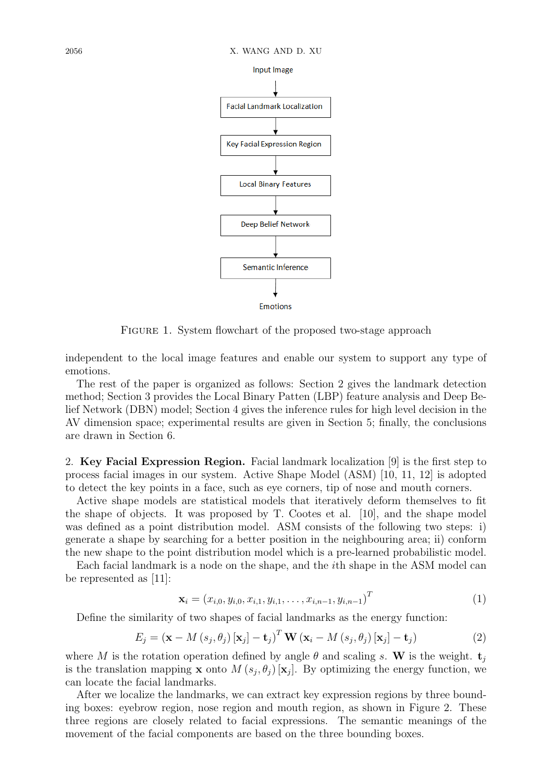

FIGURE 1. System flowchart of the proposed two-stage approach

independent to the local image features and enable our system to support any type of emotions.

The rest of the paper is organized as follows: Section 2 gives the landmark detection method; Section 3 provides the Local Binary Patten (LBP) feature analysis and Deep Belief Network (DBN) model; Section 4 gives the inference rules for high level decision in the AV dimension space; experimental results are given in Section 5; finally, the conclusions are drawn in Section 6.

2. **Key Facial Expression Region.** Facial landmark localization [9] is the first step to process facial images in our system. Active Shape Model (ASM) [10, 11, 12] is adopted to detect the key points in a face, such as eye corners, tip of nose and mouth corners.

Active shape models are statistical models that iteratively deform themselves to fit the shape of objects. It was proposed by T. Cootes et al. [10], and the shape model was defined as a point distribution model. ASM consists of the following two steps: i) generate a shape by searching for a better position in the neighbouring area; ii) conform the new shape to the point distribution model which is a pre-learned probabilistic model.

Each facial landmark is a node on the shape, and the *i*th shape in the ASM model can be represented as [11]:

$$
\mathbf{x}_{i} = (x_{i,0}, y_{i,0}, x_{i,1}, y_{i,1}, \dots, x_{i,n-1}, y_{i,n-1})^{T}
$$
(1)

Define the similarity of two shapes of facial landmarks as the energy function:

$$
E_j = (\mathbf{x} - M\left(s_j, \theta_j\right)[\mathbf{x}_j] - \mathbf{t}_j)^T \mathbf{W} \left(\mathbf{x}_i - M\left(s_j, \theta_j\right)[\mathbf{x}_j] - \mathbf{t}_j\right)
$$
(2)

where *M* is the rotation operation defined by angle  $\theta$  and scaling *s*. W is the weight.  $\mathbf{t}_i$ is the translation mapping **x** onto  $M(s_j, \theta_j)$  [**x**<sub>*j*</sub>]. By optimizing the energy function, we can locate the facial landmarks.

After we localize the landmarks, we can extract key expression regions by three bounding boxes: eyebrow region, nose region and mouth region, as shown in Figure 2. These three regions are closely related to facial expressions. The semantic meanings of the movement of the facial components are based on the three bounding boxes.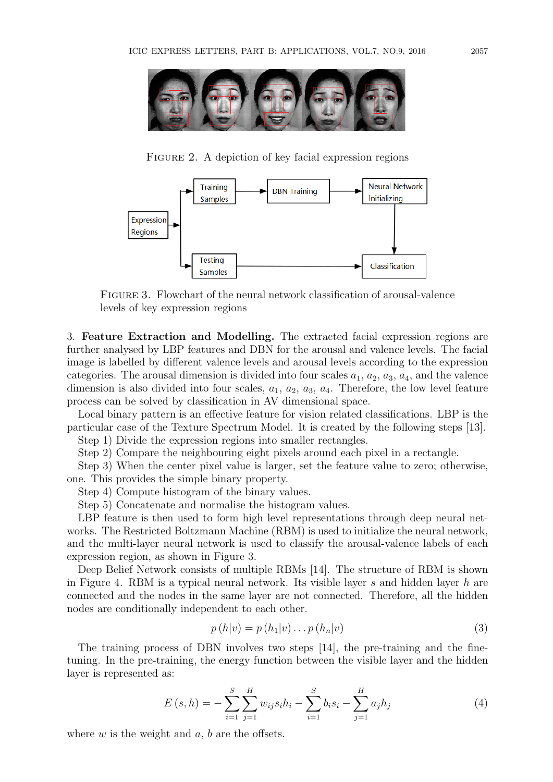

FIGURE 2. A depiction of key facial expression regions



Figure 3. Flowchart of the neural network classification of arousal-valence levels of key expression regions

3. **Feature Extraction and Modelling.** The extracted facial expression regions are further analysed by LBP features and DBN for the arousal and valence levels. The facial image is labelled by different valence levels and arousal levels according to the expression categories. The arousal dimension is divided into four scales  $a_1, a_2, a_3, a_4$ , and the valence dimension is also divided into four scales,  $a_1, a_2, a_3, a_4$ . Therefore, the low level feature process can be solved by classification in AV dimensional space.

Local binary pattern is an effective feature for vision related classifications. LBP is the particular case of the Texture Spectrum Model. It is created by the following steps [13].

Step 1) Divide the expression regions into smaller rectangles.

Step 2) Compare the neighbouring eight pixels around each pixel in a rectangle.

Step 3) When the center pixel value is larger, set the feature value to zero; otherwise, one. This provides the simple binary property.

Step 4) Compute histogram of the binary values.

Step 5) Concatenate and normalise the histogram values.

LBP feature is then used to form high level representations through deep neural networks. The Restricted Boltzmann Machine (RBM) is used to initialize the neural network, and the multi-layer neural network is used to classify the arousal-valence labels of each expression region, as shown in Figure 3.

Deep Belief Network consists of multiple RBMs [14]. The structure of RBM is shown in Figure 4. RBM is a typical neural network. Its visible layer *s* and hidden layer *h* are connected and the nodes in the same layer are not connected. Therefore, all the hidden nodes are conditionally independent to each other.

$$
p(h|v) = p(h_1|v) \dots p(h_n|v)
$$
\n<sup>(3)</sup>

The training process of DBN involves two steps [14], the pre-training and the finetuning. In the pre-training, the energy function between the visible layer and the hidden layer is represented as:

$$
E(s, h) = -\sum_{i=1}^{S} \sum_{j=1}^{H} w_{ij} s_i h_i - \sum_{i=1}^{S} b_i s_i - \sum_{j=1}^{H} a_j h_j
$$
 (4)

where *w* is the weight and *a*, *b* are the offsets.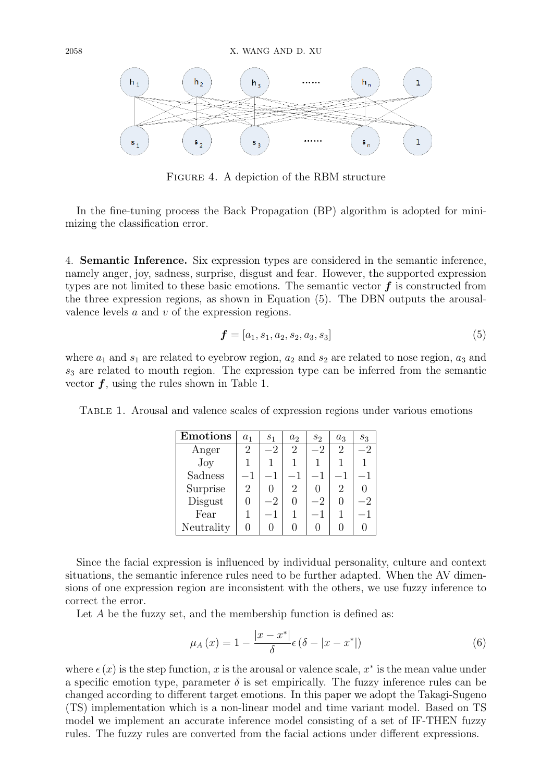

Figure 4. A depiction of the RBM structure

In the fine-tuning process the Back Propagation (BP) algorithm is adopted for minimizing the classification error.

4. **Semantic Inference.** Six expression types are considered in the semantic inference, namely anger, joy, sadness, surprise, disgust and fear. However, the supported expression types are not limited to these basic emotions. The semantic vector *f* is constructed from the three expression regions, as shown in Equation (5). The DBN outputs the arousalvalence levels *a* and *v* of the expression regions.

$$
\boldsymbol{f} = [a_1, s_1, a_2, s_2, a_3, s_3] \tag{5}
$$

where  $a_1$  and  $s_1$  are related to eyebrow region,  $a_2$  and  $s_2$  are related to nose region,  $a_3$  and *s*<sup>3</sup> are related to mouth region. The expression type can be inferred from the semantic vector *f*, using the rules shown in Table 1.

Table 1. Arousal and valence scales of expression regions under various emotions

| <b>Emotions</b> | $a_1$   | S <sub>1</sub> | a <sub>2</sub> | $S_2$ | $a_3$ | $S_3$ |
|-----------------|---------|----------------|----------------|-------|-------|-------|
| Anger           | 2       | $-2$           | 2              |       | 2     | -2    |
| $\rm Joy$       |         |                |                |       |       |       |
| Sadness         | $^{-1}$ |                |                |       |       |       |
| Surprise        | 2       |                | 2              |       | 2     |       |
| Disgust         |         | $-2$           |                | $-2$  |       | -2    |
| Fear            |         | - 1            |                |       |       |       |
| Neutrality      |         |                |                |       |       |       |

Since the facial expression is influenced by individual personality, culture and context situations, the semantic inference rules need to be further adapted. When the AV dimensions of one expression region are inconsistent with the others, we use fuzzy inference to correct the error.

Let *A* be the fuzzy set, and the membership function is defined as:

$$
\mu_A(x) = 1 - \frac{|x - x^*|}{\delta} \epsilon (\delta - |x - x^*|)
$$
\n(6)

where  $\epsilon(x)$  is the step function, x is the arousal or valence scale,  $x^*$  is the mean value under a specific emotion type, parameter  $\delta$  is set empirically. The fuzzy inference rules can be changed according to different target emotions. In this paper we adopt the Takagi-Sugeno (TS) implementation which is a non-linear model and time variant model. Based on TS model we implement an accurate inference model consisting of a set of IF-THEN fuzzy rules. The fuzzy rules are converted from the facial actions under different expressions.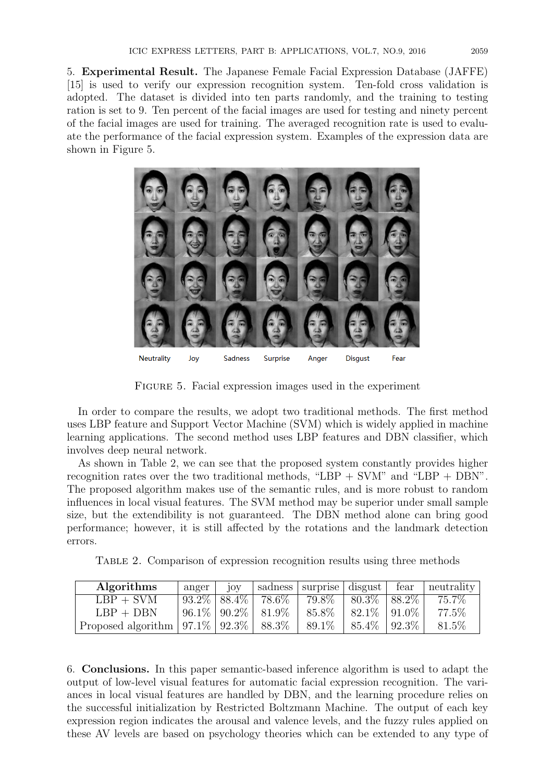5. **Experimental Result.** The Japanese Female Facial Expression Database (JAFFE) [15] is used to verify our expression recognition system. Ten-fold cross validation is adopted. The dataset is divided into ten parts randomly, and the training to testing ration is set to 9. Ten percent of the facial images are used for testing and ninety percent of the facial images are used for training. The averaged recognition rate is used to evaluate the performance of the facial expression system. Examples of the expression data are shown in Figure 5.



FIGURE 5. Facial expression images used in the experiment

In order to compare the results, we adopt two traditional methods. The first method uses LBP feature and Support Vector Machine (SVM) which is widely applied in machine learning applications. The second method uses LBP features and DBN classifier, which involves deep neural network.

As shown in Table 2, we can see that the proposed system constantly provides higher recognition rates over the two traditional methods, "LBP + SVM" and "LBP + DBN". The proposed algorithm makes use of the semantic rules, and is more robust to random influences in local visual features. The SVM method may be superior under small sample size, but the extendibility is not guaranteed. The DBN method alone can bring good performance; however, it is still affected by the rotations and the landmark detection errors.

Table 2. Comparison of expression recognition results using three methods

| Algorithms                                  | anger | jov |                                | sadness surprise disgust fear |                                | $\vert$ neutrality $\vert$ |
|---------------------------------------------|-------|-----|--------------------------------|-------------------------------|--------------------------------|----------------------------|
| $LBP + SVM$                                 |       |     | $93.2\%$   $88.4\%$   $78.6\%$ |                               | $79.8\%$   $80.3\%$   $88.2\%$ | 75.7%                      |
| $LBP + DBN$                                 |       |     | $96.1\%$   $90.2\%$   $81.9\%$ | 85.8%                         | $ 82.1\% 91.0\% $              | 77.5%                      |
| Proposed algorithm $97.1\%$ $92.3\%$ 88.3\% |       |     |                                | 89.1\%                        | $185.4\%$   $92.3\%$           | 81.5\%                     |

6. **Conclusions.** In this paper semantic-based inference algorithm is used to adapt the output of low-level visual features for automatic facial expression recognition. The variances in local visual features are handled by DBN, and the learning procedure relies on the successful initialization by Restricted Boltzmann Machine. The output of each key expression region indicates the arousal and valence levels, and the fuzzy rules applied on these AV levels are based on psychology theories which can be extended to any type of